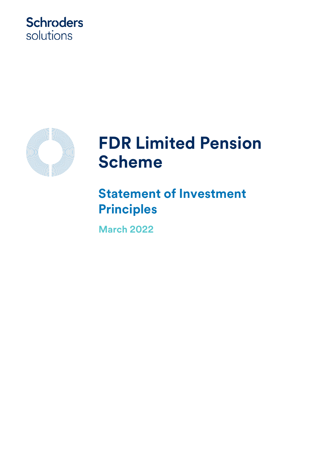## **Schroders** solutions



# **FDR Limited Pension Scheme**

**Statement of Investment Principles** 

**March 2022**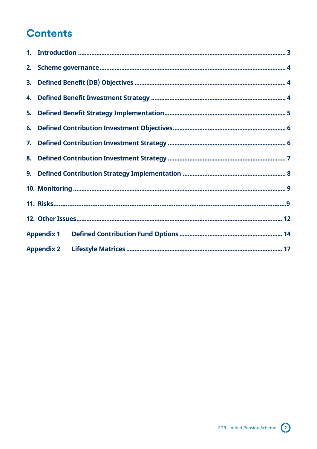## **Contents**

| 8. |                   |  |
|----|-------------------|--|
|    |                   |  |
|    |                   |  |
|    |                   |  |
|    |                   |  |
|    | <b>Appendix 1</b> |  |
|    |                   |  |

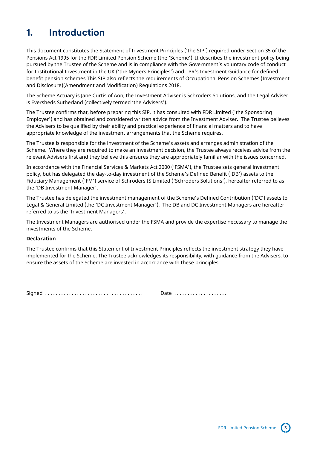## <span id="page-2-0"></span>**1. Introduction**

This document constitutes the Statement of Investment Principles ('the SIP') required under Section 35 of the Pensions Act 1995 for the FDR Limited Pension Scheme (the 'Scheme'). It describes the investment policy being pursued by the Trustee of the Scheme and is in compliance with the Government's voluntary code of conduct for Institutional Investment in the UK ('the Myners Principles') and TPR's Investment Guidance for defined benefit pension schemes This SIP also reflects the requirements of Occupational Pension Schemes (Investment and Disclosure)(Amendment and Modification) Regulations 2018.

The Scheme Actuary is Jane Curtis of Aon, the Investment Adviser is Schroders Solutions, and the Legal Adviser is Eversheds Sutherland (collectively termed 'the Advisers').

The Trustee confirms that, before preparing this SIP, it has consulted with FDR Limited ('the Sponsoring Employer') and has obtained and considered written advice from the Investment Adviser. The Trustee believes the Advisers to be qualified by their ability and practical experience of financial matters and to have appropriate knowledge of the investment arrangements that the Scheme requires.

The Trustee is responsible for the investment of the Scheme's assets and arranges administration of the Scheme. Where they are required to make an investment decision, the Trustee always receives advice from the relevant Advisers first and they believe this ensures they are appropriately familiar with the issues concerned.

In accordance with the Financial Services & Markets Act 2000 ('FSMA'), the Trustee sets general investment policy, but has delegated the day-to-day investment of the Scheme's Defined Benefit ('DB') assets to the Fiduciary Management ('FM') service of Schroders IS Limited ('Schroders Solutions'), hereafter referred to as the 'DB Investment Manager'.

The Trustee has delegated the investment management of the Scheme's Defined Contribution ('DC') assets to Legal & General Limited (the 'DC Investment Manager'). The DB and DC Investment Managers are hereafter referred to as the 'Investment Managers'.

The Investment Managers are authorised under the FSMA and provide the expertise necessary to manage the investments of the Scheme.

#### **Declaration**

The Trustee confirms that this Statement of Investment Principles reflects the investment strategy they have implemented for the Scheme. The Trustee acknowledges its responsibility, with guidance from the Advisers, to ensure the assets of the Scheme are invested in accordance with these principles.

Signed . . . . . . . . . . . . . . . . . . . . . . . . . . . . . . . . . . . . . Date . . . . . . . . . . . . . . . . . . . .

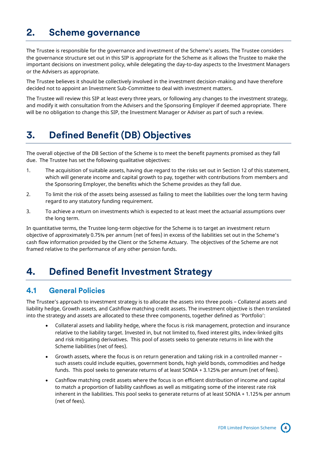## <span id="page-3-0"></span>**2. Scheme governance**

The Trustee is responsible for the governance and investment of the Scheme's assets. The Trustee considers the governance structure set out in this SIP is appropriate for the Scheme as it allows the Trustee to make the important decisions on investment policy, while delegating the day-to-day aspects to the Investment Managers or the Advisers as appropriate.

The Trustee believes it should be collectively involved in the investment decision-making and have therefore decided not to appoint an Investment Sub-Committee to deal with investment matters.

The Trustee will review this SIP at least every three years, or following any changes to the investment strategy, and modify it with consultation from the Advisers and the Sponsoring Employer if deemed appropriate. There will be no obligation to change this SIP, the Investment Manager or Adviser as part of such a review.

## <span id="page-3-1"></span>**3. Defined Benefit (DB) Objectives**

The overall objective of the DB Section of the Scheme is to meet the benefit payments promised as they fall due. The Trustee has set the following qualitative objectives:

- 1. The acquisition of suitable assets, having due regard to the risks set out in Section 12 of this statement, which will generate income and capital growth to pay, together with contributions from members and the Sponsoring Employer, the benefits which the Scheme provides as they fall due.
- 2. To limit the risk of the assets being assessed as failing to meet the liabilities over the long term having regard to any statutory funding requirement.
- 3. To achieve a return on investments which is expected to at least meet the actuarial assumptions over the long term.

In quantitative terms, the Trustee long-term objective for the Scheme is to target an investment return objective of approximately 0.75% per annum (net of fees) in excess of the liabilities set out in the Scheme's cash flow information provided by the Client or the Scheme Actuary. The objectives of the Scheme are not framed relative to the performance of any other pension funds.

## <span id="page-3-2"></span>**4. Defined Benefit Investment Strategy**

#### **4.1 General Policies**

The Trustee's approach to investment strategy is to allocate the assets into three pools – Collateral assets and liability hedge, Growth assets, and Cashflow matching credit assets. The investment objective is then translated into the strategy and assets are allocated to these three components, together defined as 'Portfolio':

- Collateral assets and liability hedge, where the focus is risk management, protection and insurance relative to the liability target. Invested in, but not limited to, fixed interest gilts, index-linked gilts and risk mitigating derivatives. This pool of assets seeks to generate returns in line with the Scheme liabilities (net of fees).
- Growth assets, where the focus is on return generation and taking risk in a controlled manner such assets could include equities, government bonds, high yield bonds, commodities and hedge funds. This pool seeks to generate returns of at least SONIA + 3.125% per annum (net of fees).
- Cashflow matching credit assets where the focus is on efficient distribution of income and capital to match a proportion of liability cashflows as well as mitigating some of the interest rate risk inherent in the liabilities. This pool seeks to generate returns of at least SONIA + 1.125% per annum (net of fees).

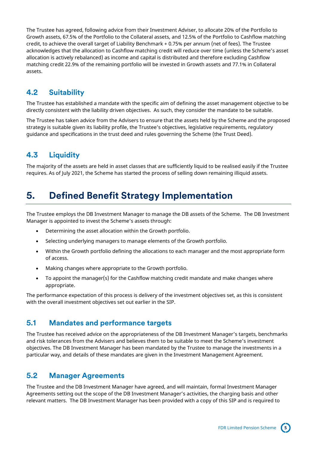The Trustee has agreed, following advice from their Investment Adviser, to allocate 20% of the Portfolio to Growth assets, 67.5% of the Portfolio to the Collateral assets, and 12.5% of the Portfolio to Cashflow matching credit, to achieve the overall target of Liability Benchmark + 0.75% per annum (net of fees). The Trustee acknowledges that the allocation to Cashflow matching credit will reduce over time (unless the Scheme's asset allocation is actively rebalanced) as income and capital is distributed and therefore excluding Cashflow matching credit 22.9% of the remaining portfolio will be invested in Growth assets and 77.1% in Collateral assets.

### **4.2 Suitability**

The Trustee has established a mandate with the specific aim of defining the asset management objective to be directly consistent with the liability driven objectives. As such, they consider the mandate to be suitable.

The Trustee has taken advice from the Advisers to ensure that the assets held by the Scheme and the proposed strategy is suitable given its liability profile, the Trustee's objectives, legislative requirements, regulatory guidance and specifications in the trust deed and rules governing the Scheme (the Trust Deed).

## **4.3 Liquidity**

The majority of the assets are held in asset classes that are sufficiently liquid to be realised easily if the Trustee requires. As of July 2021, the Scheme has started the process of selling down remaining illiquid assets.

## <span id="page-4-0"></span>**5. Defined Benefit Strategy Implementation**

The Trustee employs the DB Investment Manager to manage the DB assets of the Scheme. The DB Investment Manager is appointed to invest the Scheme's assets through:

- Determining the asset allocation within the Growth portfolio.
- Selecting underlying managers to manage elements of the Growth portfolio.
- Within the Growth portfolio defining the allocations to each manager and the most appropriate form of access.
- Making changes where appropriate to the Growth portfolio.
- To appoint the manager(s) for the Cashflow matching credit mandate and make changes where appropriate.

The performance expectation of this process is delivery of the investment objectives set, as this is consistent with the overall investment objectives set out earlier in the SIP.

#### **5.1 Mandates and performance targets**

The Trustee has received advice on the appropriateness of the DB Investment Manager's targets, benchmarks and risk tolerances from the Advisers and believes them to be suitable to meet the Scheme's investment objectives. The DB Investment Manager has been mandated by the Trustee to manage the investments in a particular way, and details of these mandates are given in the Investment Management Agreement.

### **5.2 Manager Agreements**

The Trustee and the DB Investment Manager have agreed, and will maintain, formal Investment Manager Agreements setting out the scope of the DB Investment Manager's activities, the charging basis and other relevant matters. The DB Investment Manager has been provided with a copy of this SIP and is required to

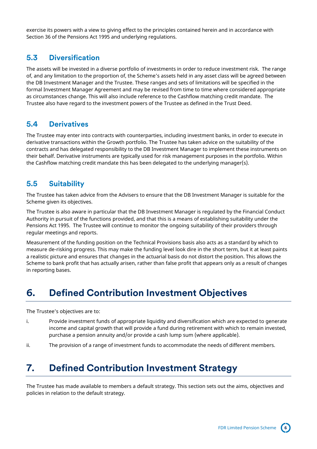exercise its powers with a view to giving effect to the principles contained herein and in accordance with Section 36 of the Pensions Act 1995 and underlying regulations.

#### **5.3 Diversification**

The assets will be invested in a diverse portfolio of investments in order to reduce investment risk. The range of, and any limitation to the proportion of, the Scheme's assets held in any asset class will be agreed between the DB Investment Manager and the Trustee. These ranges and sets of limitations will be specified in the formal Investment Manager Agreement and may be revised from time to time where considered appropriate as circumstances change. This will also include reference to the Cashflow matching credit mandate. The Trustee also have regard to the investment powers of the Trustee as defined in the Trust Deed.

#### **5.4 Derivatives**

The Trustee may enter into contracts with counterparties, including investment banks, in order to execute in derivative transactions within the Growth portfolio. The Trustee has taken advice on the suitability of the contracts and has delegated responsibility to the DB Investment Manager to implement these instruments on their behalf. Derivative instruments are typically used for risk management purposes in the portfolio. Within the Cashflow matching credit mandate this has been delegated to the underlying manager(s).

### **5.5 Suitability**

The Trustee has taken advice from the Advisers to ensure that the DB Investment Manager is suitable for the Scheme given its objectives.

The Trustee is also aware in particular that the DB Investment Manager is regulated by the Financial Conduct Authority in pursuit of the functions provided, and that this is a means of establishing suitability under the Pensions Act 1995. The Trustee will continue to monitor the ongoing suitability of their providers through regular meetings and reports.

Measurement of the funding position on the Technical Provisions basis also acts as a standard by which to measure de-risking progress. This may make the funding level look dire in the short term, but it at least paints a realistic picture and ensures that changes in the actuarial basis do not distort the position. This allows the Scheme to bank profit that has actually arisen, rather than false profit that appears only as a result of changes in reporting bases.

## <span id="page-5-0"></span>**6. Defined Contribution Investment Objectives**

The Trustee's objectives are to:

- i. Provide investment funds of appropriate liquidity and diversification which are expected to generate income and capital growth that will provide a fund during retirement with which to remain invested, purchase a pension annuity and/or provide a cash lump sum (where applicable).
- ii. The provision of a range of investment funds to accommodate the needs of different members.

## <span id="page-5-1"></span>**7. Defined Contribution Investment Strategy**

The Trustee has made available to members a default strategy. This section sets out the aims, objectives and policies in relation to the default strategy.

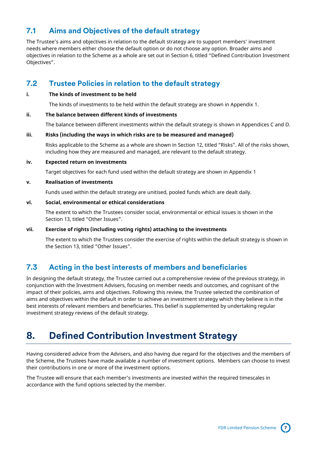### **7.1 Aims and Objectives of the default strategy**

The Trustee's aims and objectives in relation to the default strategy are to support members' investment needs where members either choose the default option or do not choose any option. Broader aims and objectives in relation to the Scheme as a whole are set out in Section 6, titled "Defined Contribution Investment Objectives".

### **7.2 Trustee Policies in relation to the default strategy**

#### **i. The kinds of investment to be held**

The kinds of investments to be held within the default strategy are shown in Appendix 1.

#### **ii. The balance between different kinds of investments**

The balance between different investments within the default strategy is shown in Appendices C and D.

#### **iii. Risks (including the ways in which risks are to be measured and managed)**

Risks applicable to the Scheme as a whole are shown in Section 12, titled "Risks". All of the risks shown, including how they are measured and managed, are relevant to the default strategy.

#### **iv. Expected return on investments**

Target objectives for each fund used within the default strategy are shown in Appendix 1

#### **v. Realisation of investments**

Funds used within the default strategy are unitised, pooled funds which are dealt daily.

#### **vi. Social, environmental or ethical considerations**

The extent to which the Trustees consider social, environmental or ethical issues is shown in the Section 13, titled "Other Issues".

#### **vii. Exercise of rights (including voting rights) attaching to the investments**

The extent to which the Trustees consider the exercise of rights within the default strategy is shown in the Section 13, titled "Other Issues".

### **7.3 Acting in the best interests of members and beneficiaries**

In designing the default strategy, the Trustee carried out a comprehensive review of the previous strategy, in conjunction with the Investment Advisers, focusing on member needs and outcomes, and cognisant of the impact of their policies, aims and objectives. Following this review, the Trustee selected the combination of aims and objectives within the default in order to achieve an investment strategy which they believe is in the best interests of relevant members and beneficiaries. This belief is supplemented by undertaking regular investment strategy reviews of the default strategy.

## <span id="page-6-0"></span>**8. Defined Contribution Investment Strategy**

Having considered advice from the Advisers, and also having due regard for the objectives and the members of the Scheme, the Trustees have made available a number of investment options. Members can choose to invest their contributions in one or more of the investment options.

The Trustee will ensure that each member's investments are invested within the required timescales in accordance with the fund options selected by the member.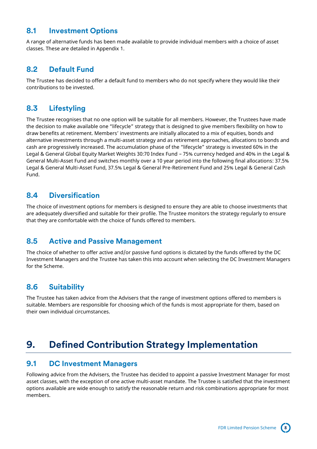#### **8.1 Investment Options**

A range of alternative funds has been made available to provide individual members with a choice of asset classes. These are detailed in Appendix 1.

### **8.2 Default Fund**

The Trustee has decided to offer a default fund to members who do not specify where they would like their contributions to be invested.

## **8.3 Lifestyling**

The Trustee recognises that no one option will be suitable for all members. However, the Trustees have made the decision to make available one "lifecycle" strategy that is designed to give members flexibility on how to draw benefits at retirement. Members' investments are initially allocated to a mix of equities, bonds and alternative investments through a multi-asset strategy and as retirement approaches, allocations to bonds and cash are progressively increased. The accumulation phase of the "lifecycle" strategy is invested 60% in the Legal & General Global Equity Market Weights 30:70 Index Fund – 75% currency hedged and 40% in the Legal & General Multi-Asset Fund and switches monthly over a 10 year period into the following final allocations: 37.5% Legal & General Multi-Asset Fund, 37.5% Legal & General Pre-Retirement Fund and 25% Legal & General Cash Fund.

### **8.4 Diversification**

The choice of investment options for members is designed to ensure they are able to choose investments that are adequately diversified and suitable for their profile. The Trustee monitors the strategy regularly to ensure that they are comfortable with the choice of funds offered to members.

### **8.5 Active and Passive Management**

The choice of whether to offer active and/or passive fund options is dictated by the funds offered by the DC Investment Managers and the Trustee has taken this into account when selecting the DC Investment Managers for the Scheme.

## **8.6 Suitability**

The Trustee has taken advice from the Advisers that the range of investment options offered to members is suitable. Members are responsible for choosing which of the funds is most appropriate for them, based on their own individual circumstances.

## <span id="page-7-0"></span>**9. Defined Contribution Strategy Implementation**

#### **9.1 DC Investment Managers**

Following advice from the Advisers, the Trustee has decided to appoint a passive Investment Manager for most asset classes, with the exception of one active multi-asset mandate. The Trustee is satisfied that the investment options available are wide enough to satisfy the reasonable return and risk combinations appropriate for most members.

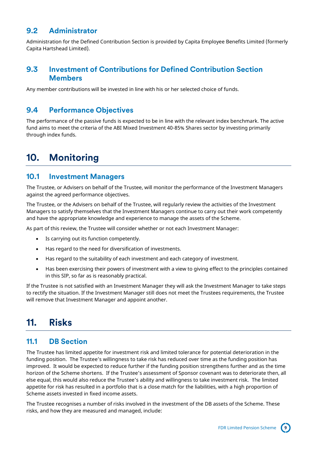### **9.2 Administrator**

Administration for the Defined Contribution Section is provided by Capita Employee Benefits Limited (formerly Capita Hartshead Limited).

#### **9.3 Investment of Contributions for Defined Contribution Section Members**

Any member contributions will be invested in line with his or her selected choice of funds.

#### **9.4 Performance Objectives**

The performance of the passive funds is expected to be in line with the relevant index benchmark. The active fund aims to meet the criteria of the ABI Mixed Investment 40-85% Shares sector by investing primarily through index funds.

## <span id="page-8-0"></span>**10. Monitoring**

#### **10.1 Investment Managers**

The Trustee, or Advisers on behalf of the Trustee, will monitor the performance of the Investment Managers against the agreed performance objectives.

The Trustee, or the Advisers on behalf of the Trustee, will regularly review the activities of the Investment Managers to satisfy themselves that the Investment Managers continue to carry out their work competently and have the appropriate knowledge and experience to manage the assets of the Scheme.

As part of this review, the Trustee will consider whether or not each Investment Manager:

- Is carrying out its function competently.
- Has regard to the need for diversification of investments.
- Has regard to the suitability of each investment and each category of investment.
- Has been exercising their powers of investment with a view to giving effect to the principles contained in this SIP, so far as is reasonably practical.

If the Trustee is not satisfied with an Investment Manager they will ask the Investment Manager to take steps to rectify the situation. If the Investment Manager still does not meet the Trustees requirements, the Trustee will remove that Investment Manager and appoint another.

## <span id="page-8-1"></span>**11. Risks**

#### **11.1 DB Section**

The Trustee has limited appetite for investment risk and limited tolerance for potential deterioration in the funding position. The Trustee's willingness to take risk has reduced over time as the funding position has improved. It would be expected to reduce further if the funding position strengthens further and as the time horizon of the Scheme shortens. If the Trustee's assessment of Sponsor covenant was to deteriorate then, all else equal, this would also reduce the Trustee's ability and willingness to take investment risk. The limited appetite for risk has resulted in a portfolio that is a close match for the liabilities, with a high proportion of Scheme assets invested in fixed income assets.

The Trustee recognises a number of risks involved in the investment of the DB assets of the Scheme. These risks, and how they are measured and managed, include:

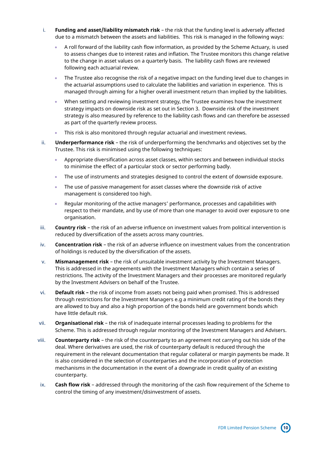- i. **Funding and asset/liability mismatch risk** the risk that the funding level is adversely affected due to a mismatch between the assets and liabilities. This risk is managed in the following ways:
	- A roll forward of the liability cash flow information, as provided by the Scheme Actuary, is used to assess changes due to interest rates and inflation. The Trustee monitors this change relative to the change in asset values on a quarterly basis. The liability cash flows are reviewed following each actuarial review.
	- The Trustee also recognise the risk of a negative impact on the funding level due to changes in the actuarial assumptions used to calculate the liabilities and variation in experience. This is managed through aiming for a higher overall investment return than implied by the liabilities.
	- When setting and reviewing investment strategy, the Trustee examines how the investment strategy impacts on downside risk as set out in Section 3. Downside risk of the investment strategy is also measured by reference to the liability cash flows and can therefore be assessed as part of the quarterly review process.
	- This risk is also monitored through regular actuarial and investment reviews.
- ii. **Underperformance risk** the risk of underperforming the benchmarks and objectives set by the Trustee. This risk is minimised using the following techniques:
	- Appropriate diversification across asset classes, within sectors and between individual stocks to minimise the effect of a particular stock or sector performing badly.
	- The use of instruments and strategies designed to control the extent of downside exposure.
	- The use of passive management for asset classes where the downside risk of active management is considered too high.
	- Regular monitoring of the active managers' performance, processes and capabilities with respect to their mandate, and by use of more than one manager to avoid over exposure to one organisation.
- iii. **Country risk** the risk of an adverse influence on investment values from political intervention is reduced by diversification of the assets across many countries.
- iv. **Concentration risk** the risk of an adverse influence on investment values from the concentration of holdings is reduced by the diversification of the assets.
- v. **Mismanagement risk** the risk of unsuitable investment activity by the Investment Managers. This is addressed in the agreements with the Investment Managers which contain a series of restrictions. The activity of the Investment Managers and their processes are monitored regularly by the Investment Advisers on behalf of the Trustee.
- vi. **Default risk –** the risk of income from assets not being paid when promised. This is addressed through restrictions for the Investment Managers e.g a minimum credit rating of the bonds they are allowed to buy and also a high proportion of the bonds held are government bonds which have little default risk.
- vii. **Organisational risk** the risk of inadequate internal processes leading to problems for the Scheme. This is addressed through regular monitoring of the Investment Managers and Advisers.
- viii. **Counterparty risk** the risk of the counterparty to an agreement not carrying out his side of the deal. Where derivatives are used, the risk of counterparty default is reduced through the requirement in the relevant documentation that regular collateral or margin payments be made. It is also considered in the selection of counterparties and the incorporation of protection mechanisms in the documentation in the event of a downgrade in credit quality of an existing counterparty.
- ix. **Cash flow risk** addressed through the monitoring of the cash flow requirement of the Scheme to control the timing of any investment/disinvestment of assets.

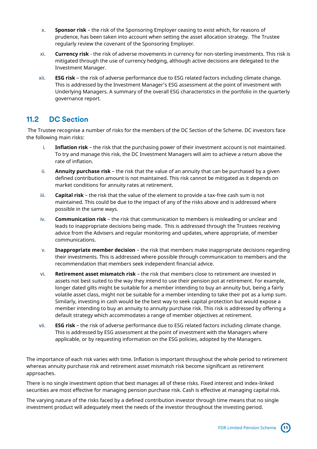- x. **Sponsor risk** the risk of the Sponsoring Employer ceasing to exist which, for reasons of prudence, has been taken into account when setting the asset allocation strategy. The Trustee regularly review the covenant of the Sponsoring Employer.
- xi. **Currency risk**  the risk of adverse movements in currency for non-sterling investments. This risk is mitigated through the use of currency hedging, although active decisions are delegated to the Investment Manager.
- xii. **ESG risk**  the risk of adverse performance due to ESG related factors including climate change. This is addressed by the Investment Manager's ESG assessment at the point of investment with Underlying Managers. A summary of the overall ESG characteristics in the portfolio in the quarterly governance report.

### **11.2 DC Section**

The Trustee recognise a number of risks for the members of the DC Section of the Scheme. DC investors face the following main risks:

- i. **Inflation risk** the risk that the purchasing power of their investment account is not maintained. To try and manage this risk, the DC Investment Managers will aim to achieve a return above the rate of inflation.
- ii. **Annuity purchase risk** the risk that the value of an annuity that can be purchased by a given defined contribution amount is not maintained. This risk cannot be mitigated as it depends on market conditions for annuity rates at retirement.
- iii. **Capital risk** the risk that the value of the element to provide a tax-free cash sum is not maintained. This could be due to the impact of any of the risks above and is addressed where possible in the same ways.
- iv. **Communication risk** the risk that communication to members is misleading or unclear and leads to inappropriate decisions being made. This is addressed through the Trustees receiving advice from the Advisers and regular monitoring and updates, where appropriate, of member communications.
- v. **Inappropriate member decision** the risk that members make inappropriate decisions regarding their investments. This is addressed where possible through communication to members and the recommendation that members seek independent financial advice.
- vi. **Retirement asset mismatch risk** the risk that members close to retirement are invested in assets not best suited to the way they intend to use their pension pot at retirement. For example, longer dated gilts might be suitable for a member intending to buy an annuity but, being a fairly volatile asset class, might not be suitable for a member intending to take their pot as a lump sum. Similarly, investing in cash would be the best way to seek capital protection but would expose a member intending to buy an annuity to annuity purchase risk. This risk is addressed by offering a default strategy which accommodates a range of member objectives at retirement.
- vii. **ESG risk**  the risk of adverse performance due to ESG related factors including climate change. This is addressed by ESG assessment at the point of investment with the Managers where applicable, or by requesting information on the ESG policies, adopted by the Managers.

The importance of each risk varies with time. Inflation is important throughout the whole period to retirement whereas annuity purchase risk and retirement asset mismatch risk become significant as retirement approaches.

There is no single investment option that best manages all of these risks. Fixed interest and index-linked securities are most effective for managing pension purchase risk. Cash is effective at managing capital risk.

The varying nature of the risks faced by a defined contribution investor through time means that no single investment product will adequately meet the needs of the investor throughout the investing period.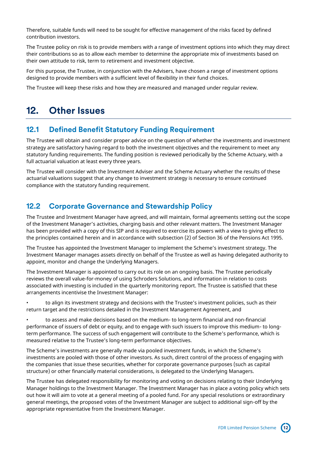Therefore, suitable funds will need to be sought for effective management of the risks faced by defined contribution investors.

The Trustee policy on risk is to provide members with a range of investment options into which they may direct their contributions so as to allow each member to determine the appropriate mix of investments based on their own attitude to risk, term to retirement and investment objective.

For this purpose, the Trustee, in conjunction with the Advisers, have chosen a range of investment options designed to provide members with a sufficient level of flexibility in their fund choices.

The Trustee will keep these risks and how they are measured and managed under regular review.

## <span id="page-11-0"></span>**12. Other Issues**

#### **12.1 Defined Benefit Statutory Funding Requirement**

The Trustee will obtain and consider proper advice on the question of whether the investments and investment strategy are satisfactory having regard to both the investment objectives and the requirement to meet any statutory funding requirements. The funding position is reviewed periodically by the Scheme Actuary, with a full actuarial valuation at least every three years.

The Trustee will consider with the Investment Adviser and the Scheme Actuary whether the results of these actuarial valuations suggest that any change to investment strategy is necessary to ensure continued compliance with the statutory funding requirement.

#### **12.2 Corporate Governance and Stewardship Policy**

The Trustee and Investment Manager have agreed, and will maintain, formal agreements setting out the scope of the Investment Manager's activities, charging basis and other relevant matters. The Investment Manager has been provided with a copy of this SIP and is required to exercise its powers with a view to giving effect to the principles contained herein and in accordance with subsection (2) of Section 36 of the Pensions Act 1995.

The Trustee has appointed the Investment Manager to implement the Scheme's investment strategy. The Investment Manager manages assets directly on behalf of the Trustee as well as having delegated authority to appoint, monitor and change the Underlying Managers.

The Investment Manager is appointed to carry out its role on an ongoing basis. The Trustee periodically reviews the overall value-for-money of using Schroders Solutions, and information in relation to costs associated with investing is included in the quarterly monitoring report. The Trustee is satisfied that these arrangements incentivise the Investment Manager:

• to align its investment strategy and decisions with the Trustee's investment policies, such as their return target and the restrictions detailed in the Investment Management Agreement, and

• to assess and make decisions based on the medium- to long-term financial and non-financial performance of issuers of debt or equity, and to engage with such issuers to improve this medium- to longterm performance. The success of such engagement will contribute to the Scheme's performance, which is measured relative to the Trustee's long-term performance objectives.

The Scheme's investments are generally made via pooled investment funds, in which the Scheme's investments are pooled with those of other investors. As such, direct control of the process of engaging with the companies that issue these securities, whether for corporate governance purposes (such as capital structure) or other financially material considerations, is delegated to the Underlying Managers.

The Trustee has delegated responsibility for monitoring and voting on decisions relating to their Underlying Manager holdings to the Investment Manager. The Investment Manager has in place a voting policy which sets out how it will aim to vote at a general meeting of a pooled fund. For any special resolutions or extraordinary general meetings, the proposed votes of the Investment Manager are subject to additional sign-off by the appropriate representative from the Investment Manager.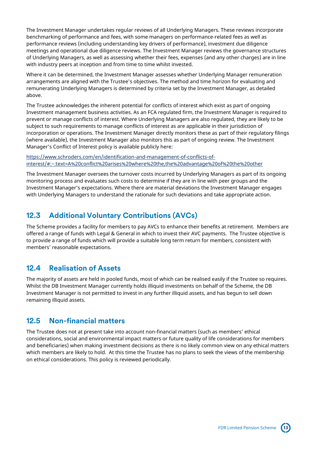The Investment Manager undertakes regular reviews of all Underlying Managers. These reviews incorporate benchmarking of performance and fees, with some managers on performance-related fees as well as performance reviews (including understanding key drivers of performance), investment due diligence meetings and operational due diligence reviews. The Investment Manager reviews the governance structures of Underlying Managers, as well as assessing whether their fees, expenses (and any other charges) are in line with industry peers at inception and from time to time whilst invested.

Where it can be determined, the Investment Manager assesses whether Underlying Manager remuneration arrangements are aligned with the Trustee's objectives. The method and time horizon for evaluating and remunerating Underlying Managers is determined by criteria set by the Investment Manager, as detailed above.

The Trustee acknowledges the inherent potential for conflicts of interest which exist as part of ongoing Investment management business activities. As an FCA regulated firm, the Investment Manager is required to prevent or manage conflicts of interest. Where Underlying Managers are also regulated, they are likely to be subject to such requirements to manage conflicts of interest as are applicable in their jurisdiction of incorporation or operations. The Investment Manager directly monitors these as part of their regulatory filings (where available), the Investment Manager also monitors this as part of ongoing review. The Investment Manager's Conflict of Interest policy is available publicly here:

[https://www.schroders.com/en/identification-and-management-of-conflicts-of](https://www.schroders.com/en/identification-and-management-of-conflicts-of-interest/#:~:text=A%20conflict%20arises%20where%20the,the%20advantage%20of%20the%20other)[interest/#:~:text=A%20conflict%20arises%20where%20the,the%20advantage%20of%20the%20other](https://www.schroders.com/en/identification-and-management-of-conflicts-of-interest/#:~:text=A%20conflict%20arises%20where%20the,the%20advantage%20of%20the%20other)

The Investment Manager oversees the turnover costs incurred by Underlying Managers as part of its ongoing monitoring process and evaluates such costs to determine if they are in line with peer groups and the Investment Manager's expectations. Where there are material deviations the Investment Manager engages with Underlying Managers to understand the rationale for such deviations and take appropriate action.

### **12.3 Additional Voluntary Contributions (AVCs)**

The Scheme provides a facility for members to pay AVCs to enhance their benefits at retirement. Members are offered a range of funds with Legal & General in which to invest their AVC payments. The Trustee objective is to provide a range of funds which will provide a suitable long term return for members, consistent with members' reasonable expectations.

#### **12.4 Realisation of Assets**

The majority of assets are held in pooled funds, most of which can be realised easily if the Trustee so requires. Whilst the DB Investment Manager currently holds illiquid investments on behalf of the Scheme, the DB Investment Manager is not permitted to invest in any further illiquid assets, and has begun to sell down remaining illiquid assets.

#### **12.5 Non-financial matters**

The Trustee does not at present take into account non-financial matters (such as members' ethical considerations, social and environmental impact matters or future quality of life considerations for members and beneficiaries) when making investment decisions as there is no likely common view on any ethical matters which members are likely to hold. At this time the Trustee has no plans to seek the views of the membership on ethical considerations. This policy is reviewed periodically.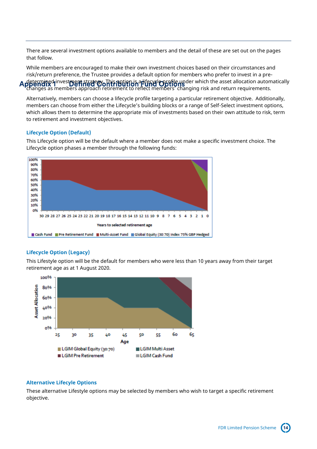<span id="page-13-0"></span>There are several investment options available to members and the detail of these are set out on the pages that follow.

While members are encouraged to make their own investment choices based on their circumstances and risk/return preference, the Trustee provides a default option for members who prefer to invest in a pre- $\det$ gratic investment strategy. This potion is a lifecycle profile under which the asset allocation automatically

changes as members approach retirement to reflect members' changing risk and return requirements.

Alternatively, members can choose a lifecycle profile targeting a particular retirement objective. Additionally, members can choose from either the Lifecycle's building blocks or a range of Self-Select investment options, which allows them to determine the appropriate mix of investments based on their own attitude to risk, term to retirement and investment objectives.

#### **Lifecycle Option (Default)**

This Lifecycle option will be the default where a member does not make a specific investment choice. The Lifecycle option phases a member through the following funds:



#### **Lifecycle Option (Legacy)**

This Lifestyle option will be the default for members who were less than 10 years away from their target retirement age as at 1 August 2020.



#### **Alternative Lifecyle Options**

These alternative Lifestyle options may be selected by members who wish to target a specific retirement objective.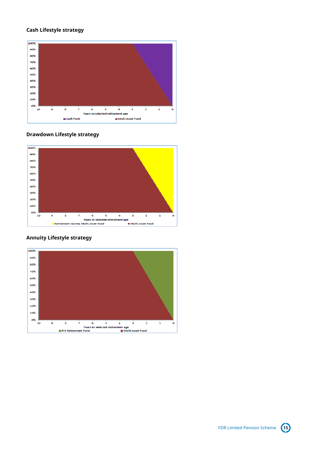#### **Cash Lifestyle strategy**



#### **Drawdown Lifestyle strategy**



#### **Annuity Lifestyle strategy**

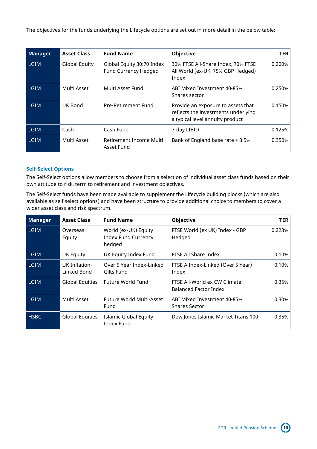The objectives for the funds underlying the Lifecycle options are set out in more detail in the below table:

| <b>Manager</b> | <b>Asset Class</b>   | <b>Fund Name</b>                                  | <b>Objective</b>                                                                                             | <b>TER</b> |
|----------------|----------------------|---------------------------------------------------|--------------------------------------------------------------------------------------------------------------|------------|
| <b>LGIM</b>    | <b>Global Equity</b> | Global Equity 30:70 Index<br>Fund Currency Hedged | 30% FTSE All-Share Index, 70% FTSE<br>All World (ex-UK, 75% GBP Hedged)<br>Index                             | 0.200%     |
| <b>LGIM</b>    | Multi Asset          | Multi Asset Fund                                  | ABI Mixed Investment 40-85%<br>Shares sector                                                                 | 0.250%     |
| <b>LGIM</b>    | UK Bond              | Pre-Retirement Fund                               | Provide an exposure to assets that<br>reflects the investments underlying<br>a typical level annuity product | 0.150%     |
| <b>LGIM</b>    | Cash                 | Cash Fund                                         | 7-day LIBID                                                                                                  | 0.125%     |
| <b>LGIM</b>    | Multi Asset          | Retirement Income Multi<br>Asset Fund             | Bank of England base rate + 3.5%                                                                             | 0.350%     |

#### **Self-Select Options**

The Self-Select options allow members to choose from a selection of individual asset class funds based on their own attitude to risk, term to retirement and investment objectives.

The Self-Select funds have been made available to supplement the Lifecycle building blocks (which are also available as self select options) and have been structure to provide additional choice to members to cover a wider asset class and risk spectrum.

| <b>Manager</b> | <b>Asset Class</b>           | <b>Fund Name</b>                                             | <b>Objective</b>                                             | <b>TER</b> |
|----------------|------------------------------|--------------------------------------------------------------|--------------------------------------------------------------|------------|
| <b>LGIM</b>    | Overseas<br>Equity           | World (ex-UK) Equity<br><b>Index Fund Currency</b><br>hedged | FTSE World (ex UK) Index - GBP<br>Hedged                     | 0.223%     |
| <b>LGIM</b>    | <b>UK Equity</b>             | UK Equity Index Fund                                         | FTSE All Share Index                                         | 0.10%      |
| <b>LGIM</b>    | UK Inflation-<br>Linked Bond | Over 5 Year Index-Linked<br>Gilts Fund                       | FTSE A Index-Linked (Over 5 Year)<br>Index                   | 0.10%      |
| <b>LGIM</b>    | <b>Global Equities</b>       | Future World Fund                                            | FTSE All-World ex CW Climate<br><b>Balanced Factor Index</b> | 0.35%      |
| <b>LGIM</b>    | Multi Asset                  | Future World Multi-Asset<br>Fund                             | ABI Mixed Investment 40-85%<br><b>Shares Sector</b>          | 0.30%      |
| <b>HSBC</b>    | <b>Global Equities</b>       | <b>Islamic Global Equity</b><br><b>Index Fund</b>            | Dow Jones Islamic Market Titans 100                          | 0.35%      |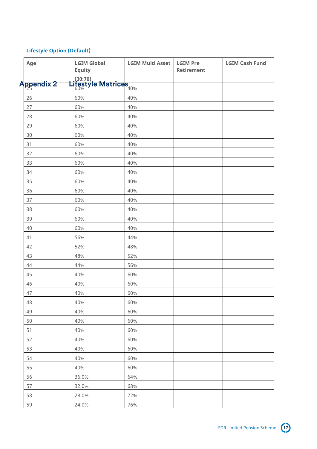#### <span id="page-16-0"></span>**Lifestyle Option (Default)**

| Age        | <b>LGIM Global</b><br><b>Equity</b>                        | <b>LGIM Multi Asset</b> | <b>LGIM Pre</b><br>Retirement | <b>LGIM Cash Fund</b> |
|------------|------------------------------------------------------------|-------------------------|-------------------------------|-----------------------|
|            |                                                            |                         |                               |                       |
| Appendix 2 | <u>(30:70)</u><br>Lifestyle Matrices<br><b>199%</b> (1996) |                         |                               |                       |
| 26         | 60%                                                        | 40%                     |                               |                       |
| 27         | 60%                                                        | 40%                     |                               |                       |
| 28         | 60%                                                        | 40%                     |                               |                       |
| 29         | 60%                                                        | 40%                     |                               |                       |
| 30         | 60%                                                        | 40%                     |                               |                       |
| 31         | 60%                                                        | 40%                     |                               |                       |
| 32         | 60%                                                        | 40%                     |                               |                       |
| 33         | 60%                                                        | 40%                     |                               |                       |
| 34         | 60%                                                        | 40%                     |                               |                       |
| 35         | 60%                                                        | 40%                     |                               |                       |
| 36         | 60%                                                        | 40%                     |                               |                       |
| 37         | 60%                                                        | 40%                     |                               |                       |
| 38         | 60%                                                        | 40%                     |                               |                       |
| 39         | 60%                                                        | 40%                     |                               |                       |
| 40         | 60%                                                        | 40%                     |                               |                       |
| 41         | 56%                                                        | 44%                     |                               |                       |
| 42         | 52%                                                        | 48%                     |                               |                       |
| 43         | 48%                                                        | 52%                     |                               |                       |
| 44         | 44%                                                        | 56%                     |                               |                       |
| 45         | 40%                                                        | 60%                     |                               |                       |
| 46         | 40%                                                        | 60%                     |                               |                       |
| 47         | 40%                                                        | 60%                     |                               |                       |
| 48         | 40%                                                        | 60%                     |                               |                       |
| 49         | 40%                                                        | 60%                     |                               |                       |
| 50         | 40%                                                        | 60%                     |                               |                       |
| 51         | 40%                                                        | 60%                     |                               |                       |
| 52         | 40%                                                        | 60%                     |                               |                       |
| 53         | 40%                                                        | 60%                     |                               |                       |
| 54         | 40%                                                        | 60%                     |                               |                       |
| 55         | 40%                                                        | 60%                     |                               |                       |
| 56         | 36.0%                                                      | 64%                     |                               |                       |
| 57         | 32.0%                                                      | 68%                     |                               |                       |
| 58         | 28.0%                                                      | 72%                     |                               |                       |
| 59         | 24.0%                                                      | 76%                     |                               |                       |

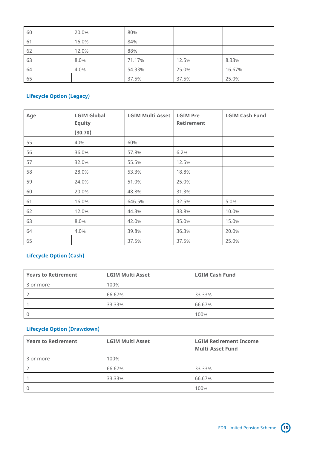| 60 | 20.0% | 80%    |       |        |
|----|-------|--------|-------|--------|
| 61 | 16.0% | 84%    |       |        |
| 62 | 12.0% | 88%    |       |        |
| 63 | 8.0%  | 71.17% | 12.5% | 8.33%  |
| 64 | 4.0%  | 54.33% | 25.0% | 16.67% |
| 65 |       | 37.5%  | 37.5% | 25.0%  |

#### **Lifecycle Option (Legacy)**

| Age | <b>LGIM Global</b><br><b>Equity</b> | <b>LGIM Multi Asset</b> | <b>LGIM Pre</b><br><b>Retirement</b> | <b>LGIM Cash Fund</b> |
|-----|-------------------------------------|-------------------------|--------------------------------------|-----------------------|
|     | (30:70)                             |                         |                                      |                       |
| 55  | 40%                                 | 60%                     |                                      |                       |
| 56  | 36.0%                               | 57.8%                   | 6.2%                                 |                       |
| 57  | 32.0%                               | 55.5%                   | 12.5%                                |                       |
| 58  | 28.0%                               | 53.3%                   | 18.8%                                |                       |
| 59  | 24.0%                               | 51.0%                   | 25.0%                                |                       |
| 60  | 20.0%                               | 48.8%                   | 31.3%                                |                       |
| 61  | 16.0%                               | 646.5%                  | 32.5%                                | 5.0%                  |
| 62  | 12.0%                               | 44.3%                   | 33.8%                                | 10.0%                 |
| 63  | 8.0%                                | 42.0%                   | 35.0%                                | 15.0%                 |
| 64  | 4.0%                                | 39.8%                   | 36.3%                                | 20.0%                 |
| 65  |                                     | 37.5%                   | 37.5%                                | 25.0%                 |

#### **Lifecycle Option (Cash)**

| <b>Years to Retirement</b> | <b>LGIM Multi Asset</b> | <b>LGIM Cash Fund</b> |
|----------------------------|-------------------------|-----------------------|
| 3 or more                  | 100%                    |                       |
|                            | 66.67%                  | 33.33%                |
|                            | 33.33%                  | 66.67%                |
|                            |                         | 100%                  |

#### **Lifecycle Option (Drawdown)**

| <b>Years to Retirement</b> | <b>LGIM Multi Asset</b> | <b>LGIM Retirement Income</b><br><b>Multi-Asset Fund</b> |
|----------------------------|-------------------------|----------------------------------------------------------|
| 3 or more                  | 100%                    |                                                          |
|                            | 66.67%                  | 33.33%                                                   |
|                            | 33.33%                  | 66.67%                                                   |
|                            |                         | 100%                                                     |